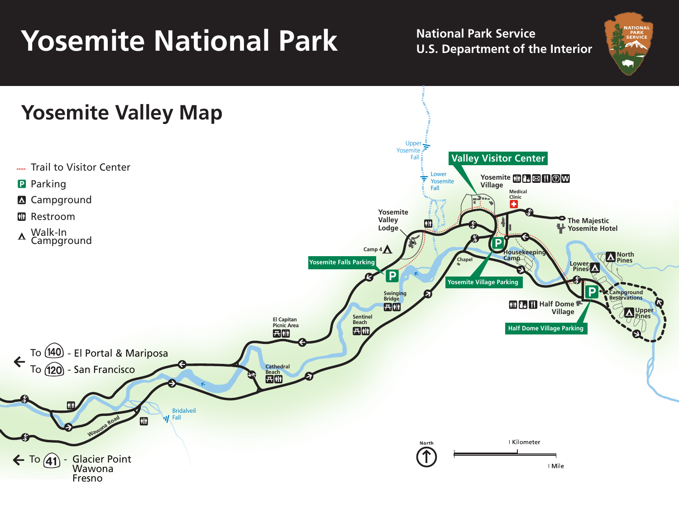## **Yosemite National Park Mational Park Service**

**U.S. Department of the Interior**